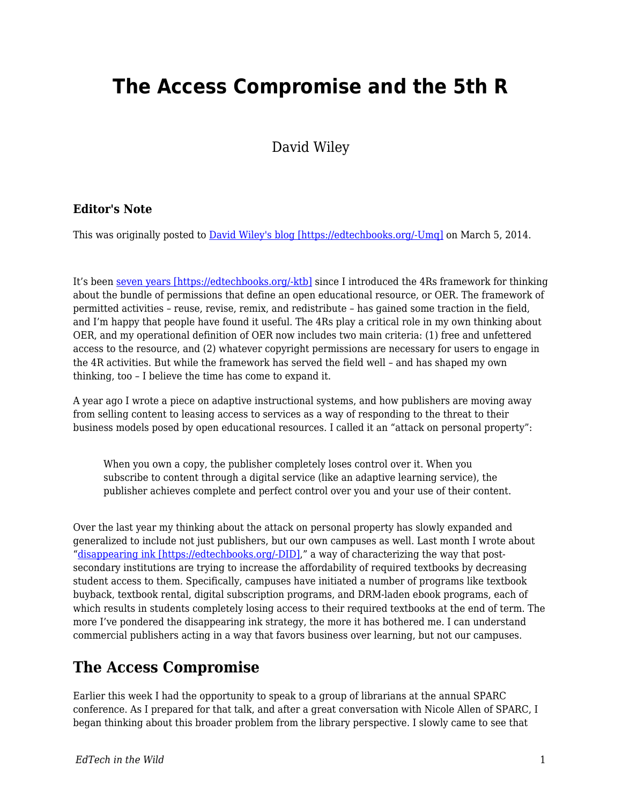# **The Access Compromise and the 5th R**

David Wiley

#### **Editor's Note**

This was originally posted to **David Wiley's blog [https://edtechbooks.org/-Umq]** on March 5, 2014.

It's been [seven years \[https://edtechbooks.org/-ktb\]](http://opencontent.org/blog/archives/355) since I introduced the 4Rs framework for thinking about the bundle of permissions that define an open educational resource, or OER. The framework of permitted activities – reuse, revise, remix, and redistribute – has gained some traction in the field, and I'm happy that people have found it useful. The 4Rs play a critical role in my own thinking about OER, and my operational definition of OER now includes two main criteria: (1) free and unfettered access to the resource, and (2) whatever copyright permissions are necessary for users to engage in the 4R activities. But while the framework has served the field well – and has shaped my own thinking, too – I believe the time has come to expand it.

A year ago I wrote a piece on adaptive instructional systems, and how publishers are moving away from selling content to leasing access to services as a way of responding to the threat to their business models posed by open educational resources. I called it an "attack on personal property":

When you own a copy, the publisher completely loses control over it. When you subscribe to content through a digital service (like an adaptive learning service), the publisher achieves complete and perfect control over you and your use of their content.

Over the last year my thinking about the attack on personal property has slowly expanded and generalized to include not just publishers, but our own campuses as well. Last month I wrote about "[disappearing ink \[https://edtechbooks.org/-DID\]](http://opencontent.org/blog/archives/3192)," a way of characterizing the way that postsecondary institutions are trying to increase the affordability of required textbooks by decreasing student access to them. Specifically, campuses have initiated a number of programs like textbook buyback, textbook rental, digital subscription programs, and DRM-laden ebook programs, each of which results in students completely losing access to their required textbooks at the end of term. The more I've pondered the disappearing ink strategy, the more it has bothered me. I can understand commercial publishers acting in a way that favors business over learning, but not our campuses.

### **The Access Compromise**

Earlier this week I had the opportunity to speak to a group of librarians at the annual SPARC conference. As I prepared for that talk, and after a great conversation with Nicole Allen of SPARC, I began thinking about this broader problem from the library perspective. I slowly came to see that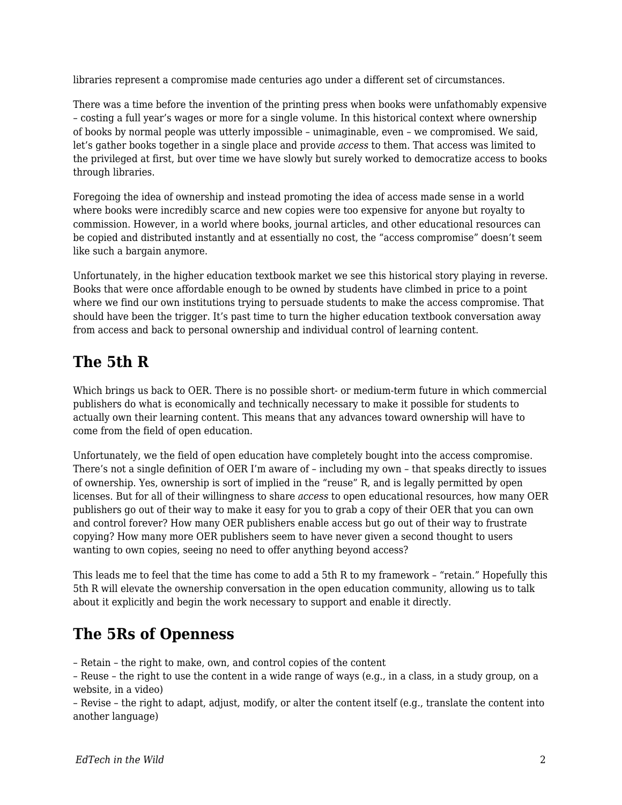libraries represent a compromise made centuries ago under a different set of circumstances.

There was a time before the invention of the printing press when books were unfathomably expensive – costing a full year's wages or more for a single volume. In this historical context where ownership of books by normal people was utterly impossible – unimaginable, even – we compromised. We said, let's gather books together in a single place and provide *access* to them. That access was limited to the privileged at first, but over time we have slowly but surely worked to democratize access to books through libraries.

Foregoing the idea of ownership and instead promoting the idea of access made sense in a world where books were incredibly scarce and new copies were too expensive for anyone but royalty to commission. However, in a world where books, journal articles, and other educational resources can be copied and distributed instantly and at essentially no cost, the "access compromise" doesn't seem like such a bargain anymore.

Unfortunately, in the higher education textbook market we see this historical story playing in reverse. Books that were once affordable enough to be owned by students have climbed in price to a point where we find our own institutions trying to persuade students to make the access compromise. That should have been the trigger. It's past time to turn the higher education textbook conversation away from access and back to personal ownership and individual control of learning content.

## **The 5th R**

Which brings us back to OER. There is no possible short- or medium-term future in which commercial publishers do what is economically and technically necessary to make it possible for students to actually own their learning content. This means that any advances toward ownership will have to come from the field of open education.

Unfortunately, we the field of open education have completely bought into the access compromise. There's not a single definition of OER I'm aware of – including my own – that speaks directly to issues of ownership. Yes, ownership is sort of implied in the "reuse" R, and is legally permitted by open licenses. But for all of their willingness to share *access* to open educational resources, how many OER publishers go out of their way to make it easy for you to grab a copy of their OER that you can own and control forever? How many OER publishers enable access but go out of their way to frustrate copying? How many more OER publishers seem to have never given a second thought to users wanting to own copies, seeing no need to offer anything beyond access?

This leads me to feel that the time has come to add a 5th R to my framework – "retain." Hopefully this 5th R will elevate the ownership conversation in the open education community, allowing us to talk about it explicitly and begin the work necessary to support and enable it directly.

# **The 5Rs of Openness**

– Retain – the right to make, own, and control copies of the content

– Reuse – the right to use the content in a wide range of ways (e.g., in a class, in a study group, on a website, in a video)

– Revise – the right to adapt, adjust, modify, or alter the content itself (e.g., translate the content into another language)